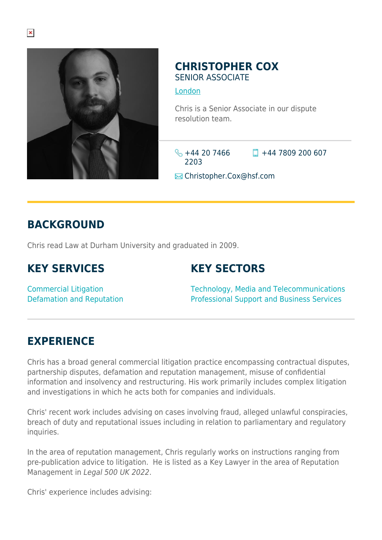

#### **CHRISTOPHER COX** SENIOR ASSOCIATE

#### [London](https://www.herbertsmithfreehills.com/where-we-work/london)

Chris is a Senior Associate in our dispute resolution team.

 $\frac{1}{2}$  +44 20 7466 2203

 $\Box$  +44 7809 200 607

**E** Christopher.Cox@hsf.com

# **BACKGROUND**

Chris read Law at Durham University and graduated in 2009.

## **KEY SERVICES**

#### **KEY SECTORS**

Commercial Litigation Defamation and Reputation Technology, Media and Telecommunications Professional Support and Business Services

### **EXPERIENCE**

Chris has a broad general commercial litigation practice encompassing contractual disputes, partnership disputes, defamation and reputation management, misuse of confidential information and insolvency and restructuring. His work primarily includes complex litigation and investigations in which he acts both for companies and individuals.

Chris' recent work includes advising on cases involving fraud, alleged unlawful conspiracies, breach of duty and reputational issues including in relation to parliamentary and regulatory inquiries.

In the area of reputation management, Chris regularly works on instructions ranging from pre-publication advice to litigation. He is listed as a Key Lawyer in the area of Reputation Management in Legal 500 UK 2022.

Chris' experience includes advising: